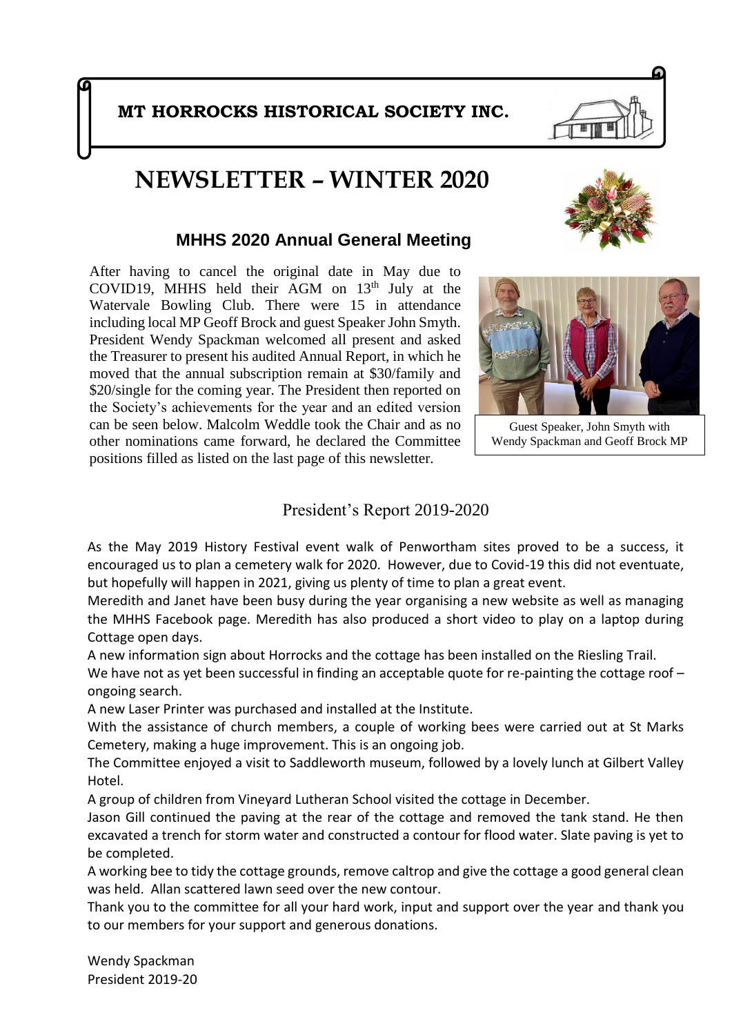# **NEWSLETTER – WINTER 2020**

### **MHHS 2020 Annual General Meeting**

After having to cancel the original date in May due to COVID19, MHHS held their AGM on  $13<sup>th</sup>$  July at the Watervale Bowling Club. There were 15 in attendance including local MP Geoff Brock and guest Speaker John Smyth. President Wendy Spackman welcomed all present and asked the Treasurer to present his audited Annual Report, in which he moved that the annual subscription remain at \$30/family and \$20/single for the coming year. The President then reported on the Society's achievements for the year and an edited version can be seen below. Malcolm Weddle took the Chair and as no other nominations came forward, he declared the Committee positions filled as listed on the last page of this newsletter.

### President's Report 2019-2020

As the May 2019 History Festival event walk of Penwortham sites proved to be a success, it encouraged us to plan a cemetery walk for 2020. However, due to Covid-19 this did not eventuate, but hopefully will happen in 2021, giving us plenty of time to plan a great event.

Meredith and Janet have been busy during the year organising a new website as well as managing the MHHS Facebook page. Meredith has also produced a short video to play on a laptop during Cottage open days.

A new information sign about Horrocks and the cottage has been installed on the Riesling Trail.

We have not as yet been successful in finding an acceptable quote for re-painting the cottage roof – ongoing search.

A new Laser Printer was purchased and installed at the Institute.

With the assistance of church members, a couple of working bees were carried out at St Marks Cemetery, making a huge improvement. This is an ongoing job.

The Committee enjoyed a visit to Saddleworth museum, followed by a lovely lunch at Gilbert Valley Hotel.

A group of children from Vineyard Lutheran School visited the cottage in December.

Jason Gill continued the paving at the rear of the cottage and removed the tank stand. He then excavated a trench for storm water and constructed a contour for flood water. Slate paving is yet to be completed.

A working bee to tidy the cottage grounds, remove caltrop and give the cottage a good general clean was held. Allan scattered lawn seed over the new contour.

Thank you to the committee for all your hard work, input and support over the year and thank you to our members for your support and generous donations.

Wendy Spackman President 2019-20

Guest Speaker, John Smyth with Wendy Spackman and Geoff Brock MP

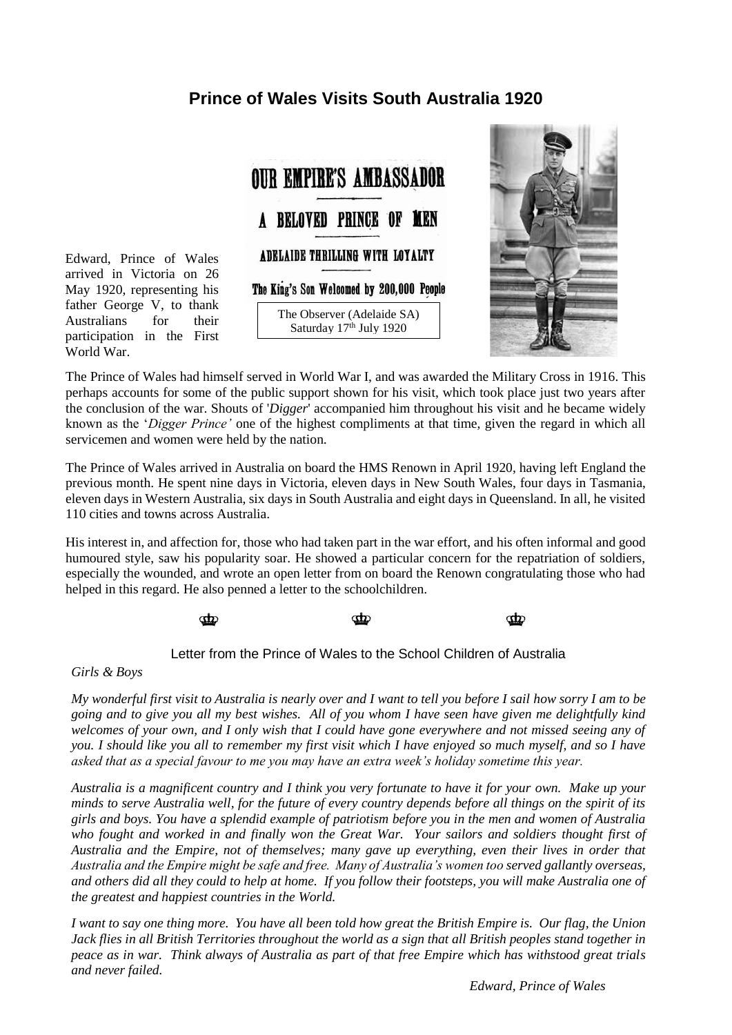## **Prince of Wales Visits South Australia 1920**



The Observer (Adelaide SA) Saturday 17<sup>th</sup> July 1920



The Prince of Wales had himself served in World War I, and was awarded the Military Cross in 1916. This perhaps accounts for some of the public support shown for his visit, which took place just two years after the conclusion of the war. Shouts of '*Digger*' accompanied him throughout his visit and he became widely known as the '*Digger Prince'* one of the highest compliments at that time, given the regard in which all servicemen and women were held by the nation.

The Prince of Wales arrived in Australia on board the [HMS Renown](https://museum.rba.gov.au/exhibitions/from-bank-to-battlefield/visit-of-the-prince-of-wales-to-australia-in-1920/index.html#hms-renown) in April 1920, having left England the previous month. He spent nine days in Victoria, eleven days in New South Wales, four days in Tasmania, eleven days in Western Australia, six days in South Australia and eight days in Queensland. In all, he visited 110 cities and towns across Australia.

His interest in, and affection for, those who had taken part in the war effort, and his often informal and good humoured style, saw his popularity soar. He showed a particular concern for the repatriation of soldiers, especially the wounded, and wrote an open letter from on board the Renown congratulating those who had helped in this regard. He also penned a letter to the schoolchildren.

> $\Phi$ ന്ന  $\Phi$

#### Letter from the Prince of Wales to the School Children of Australia

*Girls & Boys*

[Edward, Prince of Wales](https://en.wikipedia.org/wiki/Edward_VIII) arrived in [Victoria](https://en.wikipedia.org/wiki/Victoria_(Australia)) on 26 May 1920, representing his father [George V,](https://en.wikipedia.org/wiki/George_V) to thank Australians for their participation in the [First](https://en.wikipedia.org/wiki/World_War_I) 

[World War.](https://en.wikipedia.org/wiki/World_War_I)

*My wonderful first visit to Australia is nearly over and I want to tell you before I sail how sorry I am to be going and to give you all my best wishes. All of you whom I have seen have given me delightfully kind welcomes of your own, and I only wish that I could have gone everywhere and not missed seeing any of you. I should like you all to remember my first visit which I have enjoyed so much myself, and so I have asked that as a special favour to me you may have an extra week's holiday sometime this year.*

*Australia is a magnificent country and I think you very fortunate to have it for your own. Make up your minds to serve Australia well, for the future of every country depends before all things on the spirit of its girls and boys. You have a splendid example of patriotism before you in the men and women of Australia who fought and worked in and finally won the Great War. Your sailors and soldiers thought first of Australia and the Empire, not of themselves; many gave up everything, even their lives in order that Australia and the Empire might be safe and free. Many of Australia's women too served gallantly overseas, and others did all they could to help at home. If you follow their footsteps, you will make Australia one of the greatest and happiest countries in the World.*

*I want to say one thing more. You have all been told how great the British Empire is. Our flag, the Union Jack flies in all British Territories throughout the world as a sign that all British peoples stand together in peace as in war. Think always of Australia as part of that free Empire which has withstood great trials and never failed.*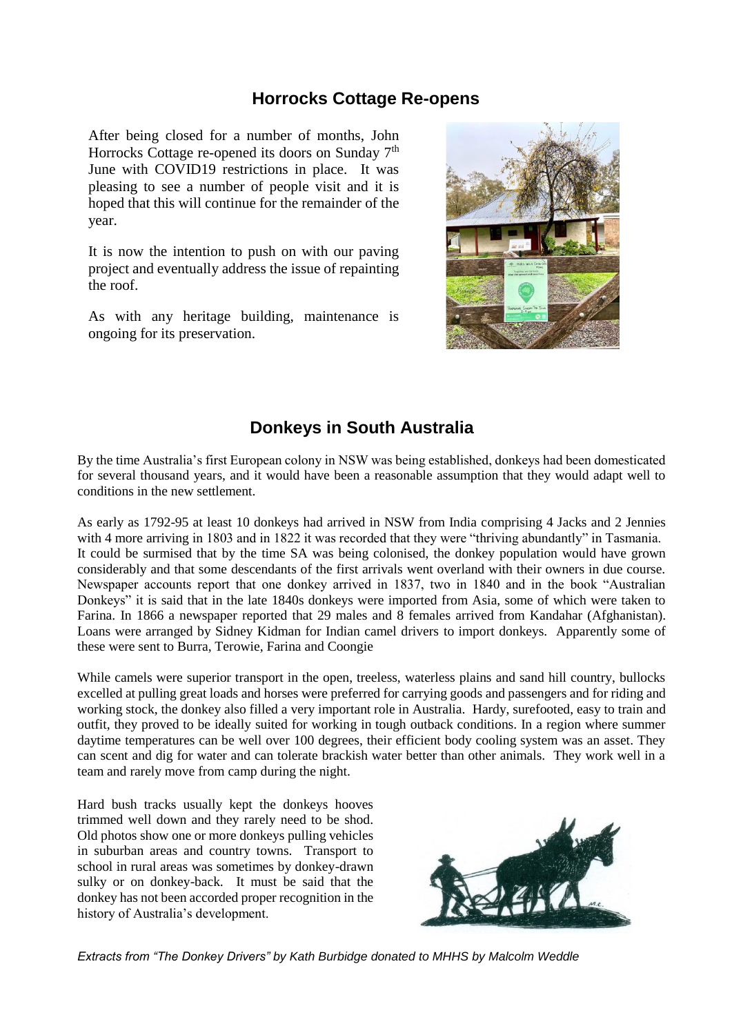#### **Horrocks Cottage Re-opens**

After being closed for a number of months, John Horrocks Cottage re-opened its doors on Sunday 7<sup>th</sup> June with COVID19 restrictions in place. It was pleasing to see a number of people visit and it is hoped that this will continue for the remainder of the year.

It is now the intention to push on with our paving project and eventually address the issue of repainting the roof.

As with any heritage building, maintenance is ongoing for its preservation.



## **Donkeys in South Australia**

By the time Australia's first European colony in NSW was being established, donkeys had been domesticated for several thousand years, and it would have been a reasonable assumption that they would adapt well to conditions in the new settlement.

As early as 1792-95 at least 10 donkeys had arrived in NSW from India comprising 4 Jacks and 2 Jennies with 4 more arriving in 1803 and in 1822 it was recorded that they were "thriving abundantly" in Tasmania. It could be surmised that by the time SA was being colonised, the donkey population would have grown considerably and that some descendants of the first arrivals went overland with their owners in due course. Newspaper accounts report that one donkey arrived in 1837, two in 1840 and in the book "Australian Donkeys" it is said that in the late 1840s donkeys were imported from Asia, some of which were taken to Farina. In 1866 a newspaper reported that 29 males and 8 females arrived from Kandahar (Afghanistan). Loans were arranged by Sidney Kidman for Indian camel drivers to import donkeys. Apparently some of these were sent to Burra, Terowie, Farina and Coongie

While camels were superior transport in the open, treeless, waterless plains and sand hill country, bullocks excelled at pulling great loads and horses were preferred for carrying goods and passengers and for riding and working stock, the donkey also filled a very important role in Australia. Hardy, surefooted, easy to train and outfit, they proved to be ideally suited for working in tough outback conditions. In a region where summer daytime temperatures can be well over 100 degrees, their efficient body cooling system was an asset. They can scent and dig for water and can tolerate brackish water better than other animals. They work well in a team and rarely move from camp during the night.

Hard bush tracks usually kept the donkeys hooves trimmed well down and they rarely need to be shod. Old photos show one or more donkeys pulling vehicles in suburban areas and country towns. Transport to school in rural areas was sometimes by donkey-drawn sulky or on donkey-back. It must be said that the donkey has not been accorded proper recognition in the history of Australia's development.



*Extracts from "The Donkey Drivers" by Kath Burbidge donated to MHHS by Malcolm Weddle*